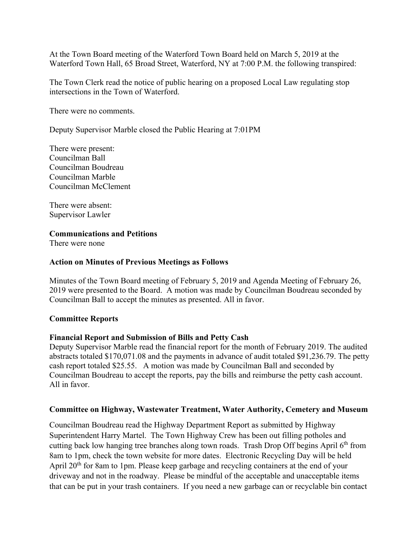At the Town Board meeting of the Waterford Town Board held on March 5, 2019 at the Waterford Town Hall, 65 Broad Street, Waterford, NY at 7:00 P.M. the following transpired:

The Town Clerk read the notice of public hearing on a proposed Local Law regulating stop intersections in the Town of Waterford.

There were no comments.

Deputy Supervisor Marble closed the Public Hearing at 7:01PM

There were present: Councilman Ball Councilman Boudreau Councilman Marble Councilman McClement

There were absent: Supervisor Lawler

## **Communications and Petitions**

There were none

## **Action on Minutes of Previous Meetings as Follows**

Minutes of the Town Board meeting of February 5, 2019 and Agenda Meeting of February 26, 2019 were presented to the Board. A motion was made by Councilman Boudreau seconded by Councilman Ball to accept the minutes as presented. All in favor.

## **Committee Reports**

## **Financial Report and Submission of Bills and Petty Cash**

Deputy Supervisor Marble read the financial report for the month of February 2019. The audited abstracts totaled \$170,071.08 and the payments in advance of audit totaled \$91,236.79. The petty cash report totaled \$25.55. A motion was made by Councilman Ball and seconded by Councilman Boudreau to accept the reports, pay the bills and reimburse the petty cash account. All in favor.

#### **Committee on Highway, Wastewater Treatment, Water Authority, Cemetery and Museum**

Councilman Boudreau read the Highway Department Report as submitted by Highway Superintendent Harry Martel. The Town Highway Crew has been out filling potholes and cutting back low hanging tree branches along town roads. Trash Drop Off begins April 6<sup>th</sup> from 8am to 1pm, check the town website for more dates. Electronic Recycling Day will be held April 20<sup>th</sup> for 8am to 1pm. Please keep garbage and recycling containers at the end of your driveway and not in the roadway. Please be mindful of the acceptable and unacceptable items that can be put in your trash containers. If you need a new garbage can or recyclable bin contact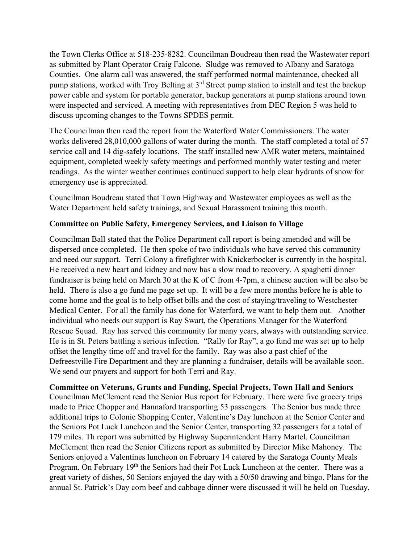the Town Clerks Office at 518-235-8282. Councilman Boudreau then read the Wastewater report as submitted by Plant Operator Craig Falcone. Sludge was removed to Albany and Saratoga Counties. One alarm call was answered, the staff performed normal maintenance, checked all pump stations, worked with Troy Belting at  $3<sup>rd</sup>$  Street pump station to install and test the backup power cable and system for portable generator, backup generators at pump stations around town were inspected and serviced. A meeting with representatives from DEC Region 5 was held to discuss upcoming changes to the Towns SPDES permit.

The Councilman then read the report from the Waterford Water Commissioners. The water works delivered 28,010,000 gallons of water during the month. The staff completed a total of 57 service call and 14 dig-safely locations. The staff installed new AMR water meters, maintained equipment, completed weekly safety meetings and performed monthly water testing and meter readings. As the winter weather continues continued support to help clear hydrants of snow for emergency use is appreciated.

Councilman Boudreau stated that Town Highway and Wastewater employees as well as the Water Department held safety trainings, and Sexual Harassment training this month.

# **Committee on Public Safety, Emergency Services, and Liaison to Village**

Councilman Ball stated that the Police Department call report is being amended and will be dispersed once completed. He then spoke of two individuals who have served this community and need our support. Terri Colony a firefighter with Knickerbocker is currently in the hospital. He received a new heart and kidney and now has a slow road to recovery. A spaghetti dinner fundraiser is being held on March 30 at the K of C from 4-7pm, a chinese auction will be also be held. There is also a go fund me page set up. It will be a few more months before he is able to come home and the goal is to help offset bills and the cost of staying/traveling to Westchester Medical Center. For all the family has done for Waterford, we want to help them out. Another individual who needs our support is Ray Swart, the Operations Manager for the Waterford Rescue Squad. Ray has served this community for many years, always with outstanding service. He is in St. Peters battling a serious infection. "Rally for Ray", a go fund me was set up to help offset the lengthy time off and travel for the family. Ray was also a past chief of the Defreestville Fire Department and they are planning a fundraiser, details will be available soon. We send our prayers and support for both Terri and Ray.

## **Committee on Veterans, Grants and Funding, Special Projects, Town Hall and Seniors**

Councilman McClement read the Senior Bus report for February. There were five grocery trips made to Price Chopper and Hannaford transporting 53 passengers. The Senior bus made three additional trips to Colonie Shopping Center, Valentine's Day luncheon at the Senior Center and the Seniors Pot Luck Luncheon and the Senior Center, transporting 32 passengers for a total of 179 miles. Th report was submitted by Highway Superintendent Harry Martel. Councilman McClement then read the Senior Citizens report as submitted by Director Mike Mahoney. The Seniors enjoyed a Valentines luncheon on February 14 catered by the Saratoga County Meals Program. On February 19<sup>th</sup> the Seniors had their Pot Luck Luncheon at the center. There was a great variety of dishes, 50 Seniors enjoyed the day with a 50/50 drawing and bingo. Plans for the annual St. Patrick's Day corn beef and cabbage dinner were discussed it will be held on Tuesday,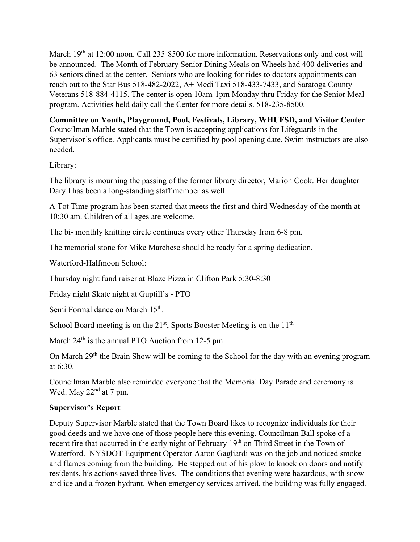March 19<sup>th</sup> at 12:00 noon. Call 235-8500 for more information. Reservations only and cost will be announced. The Month of February Senior Dining Meals on Wheels had 400 deliveries and 63 seniors dined at the center. Seniors who are looking for rides to doctors appointments can reach out to the Star Bus 518-482-2022, A+ Medi Taxi 518-433-7433, and Saratoga County Veterans 518-884-4115. The center is open 10am-1pm Monday thru Friday for the Senior Meal program. Activities held daily call the Center for more details. 518-235-8500.

**Committee on Youth, Playground, Pool, Festivals, Library, WHUFSD, and Visitor Center**  Councilman Marble stated that the Town is accepting applications for Lifeguards in the Supervisor's office. Applicants must be certified by pool opening date. Swim instructors are also needed.

Library:

The library is mourning the passing of the former library director, Marion Cook. Her daughter Daryll has been a long-standing staff member as well.

A Tot Time program has been started that meets the first and third Wednesday of the month at 10:30 am. Children of all ages are welcome.

The bi- monthly knitting circle continues every other Thursday from 6-8 pm.

The memorial stone for Mike Marchese should be ready for a spring dedication.

Waterford-Halfmoon School:

Thursday night fund raiser at Blaze Pizza in Clifton Park 5:30-8:30

Friday night Skate night at Guptill's - PTO

Semi Formal dance on March 15<sup>th</sup>.

School Board meeting is on the  $21<sup>st</sup>$ , Sports Booster Meeting is on the  $11<sup>th</sup>$ 

March  $24<sup>th</sup>$  is the annual PTO Auction from 12-5 pm

On March 29<sup>th</sup> the Brain Show will be coming to the School for the day with an evening program at 6:30.

Councilman Marble also reminded everyone that the Memorial Day Parade and ceremony is Wed. May 22<sup>nd</sup> at 7 pm.

# **Supervisor's Report**

Deputy Supervisor Marble stated that the Town Board likes to recognize individuals for their good deeds and we have one of those people here this evening. Councilman Ball spoke of a recent fire that occurred in the early night of February 19<sup>th</sup> on Third Street in the Town of Waterford. NYSDOT Equipment Operator Aaron Gagliardi was on the job and noticed smoke and flames coming from the building. He stepped out of his plow to knock on doors and notify residents, his actions saved three lives. The conditions that evening were hazardous, with snow and ice and a frozen hydrant. When emergency services arrived, the building was fully engaged.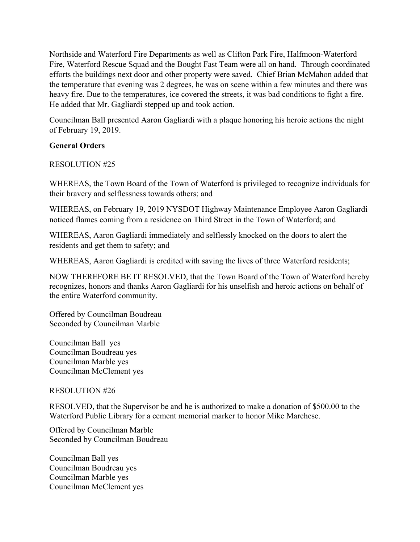Northside and Waterford Fire Departments as well as Clifton Park Fire, Halfmoon-Waterford Fire, Waterford Rescue Squad and the Bought Fast Team were all on hand. Through coordinated efforts the buildings next door and other property were saved. Chief Brian McMahon added that the temperature that evening was 2 degrees, he was on scene within a few minutes and there was heavy fire. Due to the temperatures, ice covered the streets, it was bad conditions to fight a fire. He added that Mr. Gagliardi stepped up and took action.

Councilman Ball presented Aaron Gagliardi with a plaque honoring his heroic actions the night of February 19, 2019.

# **General Orders**

## RESOLUTION #25

WHEREAS, the Town Board of the Town of Waterford is privileged to recognize individuals for their bravery and selflessness towards others; and

WHEREAS, on February 19, 2019 NYSDOT Highway Maintenance Employee Aaron Gagliardi noticed flames coming from a residence on Third Street in the Town of Waterford; and

WHEREAS, Aaron Gagliardi immediately and selflessly knocked on the doors to alert the residents and get them to safety; and

WHEREAS, Aaron Gagliardi is credited with saving the lives of three Waterford residents;

NOW THEREFORE BE IT RESOLVED, that the Town Board of the Town of Waterford hereby recognizes, honors and thanks Aaron Gagliardi for his unselfish and heroic actions on behalf of the entire Waterford community.

Offered by Councilman Boudreau Seconded by Councilman Marble

Councilman Ball yes Councilman Boudreau yes Councilman Marble yes Councilman McClement yes

## RESOLUTION #26

RESOLVED, that the Supervisor be and he is authorized to make a donation of \$500.00 to the Waterford Public Library for a cement memorial marker to honor Mike Marchese.

Offered by Councilman Marble Seconded by Councilman Boudreau

Councilman Ball yes Councilman Boudreau yes Councilman Marble yes Councilman McClement yes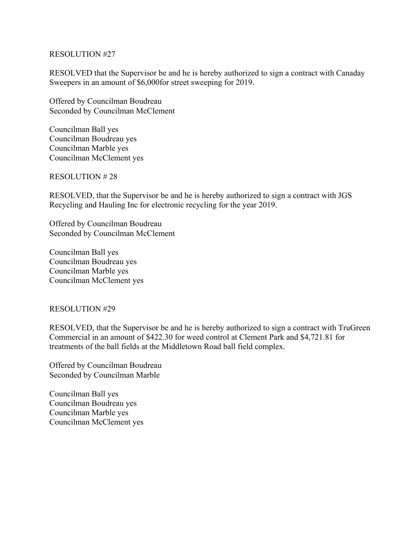### RESOLUTION #27

RESOLVED that the Supervisor be and he is hereby authorized to sign a contract with Canaday Sweepers in an amount of \$6,000for street sweeping for 2019.

Offered by Councilman Boudreau Seconded by Councilman McClement

Councilman Ball yes Councilman Boudreau yes Councilman Marble yes Councilman McClement yes

RESOLUTION # 28

RESOLVED, that the Supervisor be and he is hereby authorized to sign a contract with JGS Recycling and Hauling Inc for electronic recycling for the year 2019.

Offered by Councilman Boudreau Seconded by Councilman McClement

Councilman Ball yes Councilman Boudreau yes Councilman Marble yes Councilman McClement yes

## RESOLUTION #29

RESOLVED, that the Supervisor be and he is hereby authorized to sign a contract with TruGreen Commercial in an amount of \$422.30 for weed control at Clement Park and \$4,721.81 for treatments of the ball fields at the Middletown Road ball field complex.

Offered by Councilman Boudreau Seconded by Councilman Marble

Councilman Ball yes Councilman Boudreau yes Councilman Marble yes Councilman McClement yes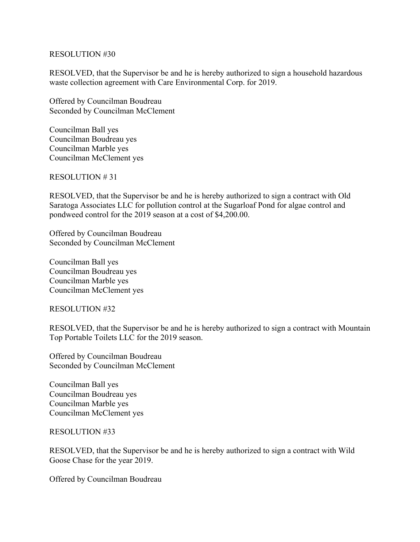### RESOLUTION #30

RESOLVED, that the Supervisor be and he is hereby authorized to sign a household hazardous waste collection agreement with Care Environmental Corp. for 2019.

Offered by Councilman Boudreau Seconded by Councilman McClement

Councilman Ball yes Councilman Boudreau yes Councilman Marble yes Councilman McClement yes

RESOLUTION # 31

RESOLVED, that the Supervisor be and he is hereby authorized to sign a contract with Old Saratoga Associates LLC for pollution control at the Sugarloaf Pond for algae control and pondweed control for the 2019 season at a cost of \$4,200.00.

Offered by Councilman Boudreau Seconded by Councilman McClement

Councilman Ball yes Councilman Boudreau yes Councilman Marble yes Councilman McClement yes

RESOLUTION #32

RESOLVED, that the Supervisor be and he is hereby authorized to sign a contract with Mountain Top Portable Toilets LLC for the 2019 season.

Offered by Councilman Boudreau Seconded by Councilman McClement

Councilman Ball yes Councilman Boudreau yes Councilman Marble yes Councilman McClement yes

RESOLUTION #33

RESOLVED, that the Supervisor be and he is hereby authorized to sign a contract with Wild Goose Chase for the year 2019.

Offered by Councilman Boudreau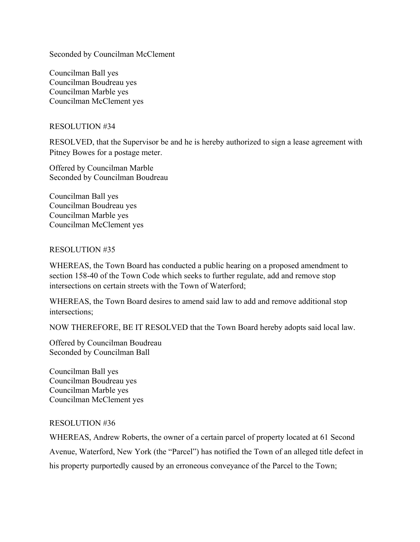Seconded by Councilman McClement

Councilman Ball yes Councilman Boudreau yes Councilman Marble yes Councilman McClement yes

### RESOLUTION #34

RESOLVED, that the Supervisor be and he is hereby authorized to sign a lease agreement with Pitney Bowes for a postage meter.

Offered by Councilman Marble Seconded by Councilman Boudreau

Councilman Ball yes Councilman Boudreau yes Councilman Marble yes Councilman McClement yes

### RESOLUTION #35

WHEREAS, the Town Board has conducted a public hearing on a proposed amendment to section 158-40 of the Town Code which seeks to further regulate, add and remove stop intersections on certain streets with the Town of Waterford;

WHEREAS, the Town Board desires to amend said law to add and remove additional stop intersections;

NOW THEREFORE, BE IT RESOLVED that the Town Board hereby adopts said local law.

Offered by Councilman Boudreau Seconded by Councilman Ball

Councilman Ball yes Councilman Boudreau yes Councilman Marble yes Councilman McClement yes

## RESOLUTION #36

WHEREAS, Andrew Roberts, the owner of a certain parcel of property located at 61 Second Avenue, Waterford, New York (the "Parcel") has notified the Town of an alleged title defect in his property purportedly caused by an erroneous conveyance of the Parcel to the Town;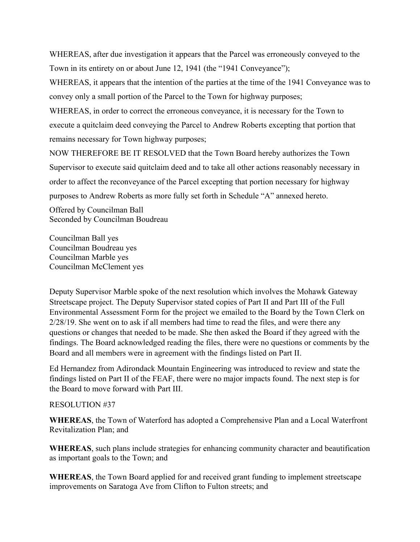WHEREAS, after due investigation it appears that the Parcel was erroneously conveyed to the Town in its entirety on or about June 12, 1941 (the "1941 Conveyance");

WHEREAS, it appears that the intention of the parties at the time of the 1941 Conveyance was to convey only a small portion of the Parcel to the Town for highway purposes;

WHEREAS, in order to correct the erroneous conveyance, it is necessary for the Town to execute a quitclaim deed conveying the Parcel to Andrew Roberts excepting that portion that remains necessary for Town highway purposes;

NOW THEREFORE BE IT RESOLVED that the Town Board hereby authorizes the Town Supervisor to execute said quitclaim deed and to take all other actions reasonably necessary in order to affect the reconveyance of the Parcel excepting that portion necessary for highway purposes to Andrew Roberts as more fully set forth in Schedule "A" annexed hereto.

Offered by Councilman Ball Seconded by Councilman Boudreau

Councilman Ball yes Councilman Boudreau yes Councilman Marble yes Councilman McClement yes

Deputy Supervisor Marble spoke of the next resolution which involves the Mohawk Gateway Streetscape project. The Deputy Supervisor stated copies of Part II and Part III of the Full Environmental Assessment Form for the project we emailed to the Board by the Town Clerk on 2/28/19. She went on to ask if all members had time to read the files, and were there any questions or changes that needed to be made. She then asked the Board if they agreed with the findings. The Board acknowledged reading the files, there were no questions or comments by the Board and all members were in agreement with the findings listed on Part II.

Ed Hernandez from Adirondack Mountain Engineering was introduced to review and state the findings listed on Part II of the FEAF, there were no major impacts found. The next step is for the Board to move forward with Part III.

## RESOLUTION #37

**WHEREAS**, the Town of Waterford has adopted a Comprehensive Plan and a Local Waterfront Revitalization Plan; and

**WHEREAS**, such plans include strategies for enhancing community character and beautification as important goals to the Town; and

**WHEREAS**, the Town Board applied for and received grant funding to implement streetscape improvements on Saratoga Ave from Clifton to Fulton streets; and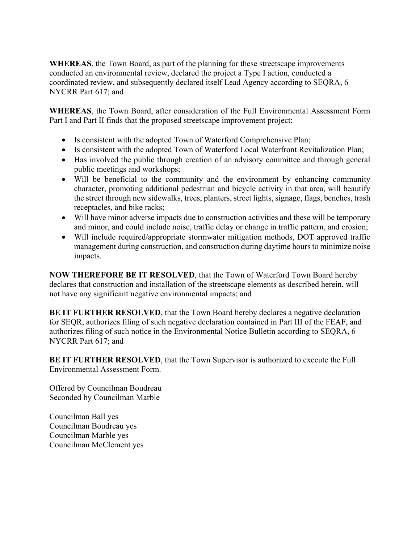**WHEREAS**, the Town Board, as part of the planning for these streetscape improvements conducted an environmental review, declared the project a Type I action, conducted a coordinated review, and subsequently declared itself Lead Agency according to SEQRA, 6 NYCRR Part 617; and

**WHEREAS**, the Town Board, after consideration of the Full Environmental Assessment Form Part I and Part II finds that the proposed streetscape improvement project:

- Is consistent with the adopted Town of Waterford Comprehensive Plan;
- Is consistent with the adopted Town of Waterford Local Waterfront Revitalization Plan;
- Has involved the public through creation of an advisory committee and through general public meetings and workshops;
- Will be beneficial to the community and the environment by enhancing community character, promoting additional pedestrian and bicycle activity in that area, will beautify the street through new sidewalks, trees, planters, street lights, signage, flags, benches, trash receptacles, and bike racks;
- Will have minor adverse impacts due to construction activities and these will be temporary and minor, and could include noise, traffic delay or change in traffic pattern, and erosion;
- Will include required/appropriate stormwater mitigation methods, DOT approved traffic management during construction, and construction during daytime hours to minimize noise impacts.

**NOW THEREFORE BE IT RESOLVED**, that the Town of Waterford Town Board hereby declares that construction and installation of the streetscape elements as described herein, will not have any significant negative environmental impacts; and

**BE IT FURTHER RESOLVED**, that the Town Board hereby declares a negative declaration for SEQR, authorizes filing of such negative declaration contained in Part III of the FEAF, and authorizes filing of such notice in the Environmental Notice Bulletin according to SEQRA, 6 NYCRR Part 617; and

**BE IT FURTHER RESOLVED**, that the Town Supervisor is authorized to execute the Full Environmental Assessment Form.

Offered by Councilman Boudreau Seconded by Councilman Marble

Councilman Ball yes Councilman Boudreau yes Councilman Marble yes Councilman McClement yes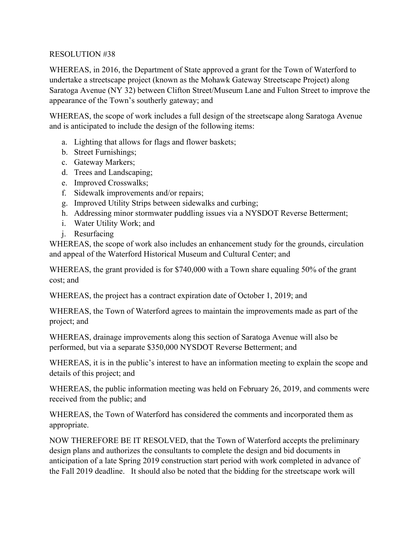# RESOLUTION #38

WHEREAS, in 2016, the Department of State approved a grant for the Town of Waterford to undertake a streetscape project (known as the Mohawk Gateway Streetscape Project) along Saratoga Avenue (NY 32) between Clifton Street/Museum Lane and Fulton Street to improve the appearance of the Town's southerly gateway; and

WHEREAS, the scope of work includes a full design of the streetscape along Saratoga Avenue and is anticipated to include the design of the following items:

- a. Lighting that allows for flags and flower baskets;
- b. Street Furnishings;
- c. Gateway Markers;
- d. Trees and Landscaping;
- e. Improved Crosswalks;
- f. Sidewalk improvements and/or repairs;
- g. Improved Utility Strips between sidewalks and curbing;
- h. Addressing minor stormwater puddling issues via a NYSDOT Reverse Betterment;
- i. Water Utility Work; and
- j. Resurfacing

WHEREAS, the scope of work also includes an enhancement study for the grounds, circulation and appeal of the Waterford Historical Museum and Cultural Center; and

WHEREAS, the grant provided is for \$740,000 with a Town share equaling 50% of the grant cost; and

WHEREAS, the project has a contract expiration date of October 1, 2019; and

WHEREAS, the Town of Waterford agrees to maintain the improvements made as part of the project; and

WHEREAS, drainage improvements along this section of Saratoga Avenue will also be performed, but via a separate \$350,000 NYSDOT Reverse Betterment; and

WHEREAS, it is in the public's interest to have an information meeting to explain the scope and details of this project; and

WHEREAS, the public information meeting was held on February 26, 2019, and comments were received from the public; and

WHEREAS, the Town of Waterford has considered the comments and incorporated them as appropriate.

NOW THEREFORE BE IT RESOLVED, that the Town of Waterford accepts the preliminary design plans and authorizes the consultants to complete the design and bid documents in anticipation of a late Spring 2019 construction start period with work completed in advance of the Fall 2019 deadline. It should also be noted that the bidding for the streetscape work will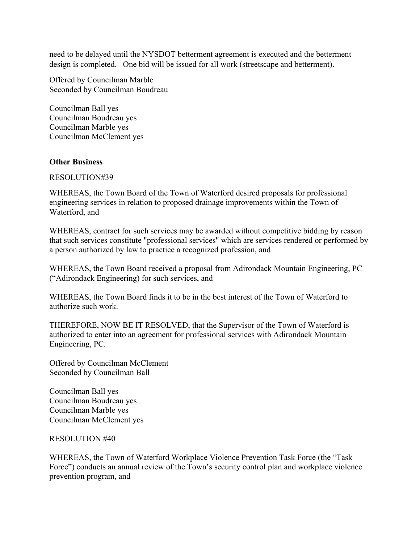need to be delayed until the NYSDOT betterment agreement is executed and the betterment design is completed. One bid will be issued for all work (streetscape and betterment).

Offered by Councilman Marble Seconded by Councilman Boudreau

Councilman Ball yes Councilman Boudreau yes Councilman Marble yes Councilman McClement yes

### **Other Business**

RESOLUTION#39

WHEREAS, the Town Board of the Town of Waterford desired proposals for professional engineering services in relation to proposed drainage improvements within the Town of Waterford, and

WHEREAS, contract for such services may be awarded without competitive bidding by reason that such services constitute "professional services" which are services rendered or performed by a person authorized by law to practice a recognized profession, and

WHEREAS, the Town Board received a proposal from Adirondack Mountain Engineering, PC ("Adirondack Engineering) for such services, and

WHEREAS, the Town Board finds it to be in the best interest of the Town of Waterford to authorize such work.

THEREFORE, NOW BE IT RESOLVED, that the Supervisor of the Town of Waterford is authorized to enter into an agreement for professional services with Adirondack Mountain Engineering, PC.

Offered by Councilman McClement Seconded by Councilman Ball

Councilman Ball yes Councilman Boudreau yes Councilman Marble yes Councilman McClement yes

#### RESOLUTION #40

WHEREAS, the Town of Waterford Workplace Violence Prevention Task Force (the "Task Force") conducts an annual review of the Town's security control plan and workplace violence prevention program, and